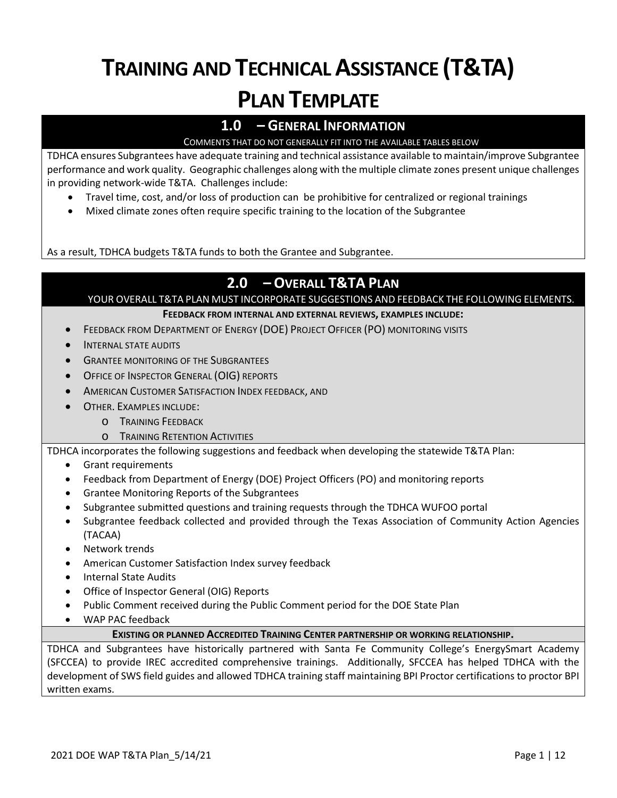# **TRAINING AND TECHNICAL ASSISTANCE (T&TA) PLAN TEMPLATE**

# **1.0 – GENERAL INFORMATION**

# COMMENTS THAT DO NOT GENERALLY FIT INTO THE AVAILABLE TABLES BELOW

TDHCA ensures Subgrantees have adequate training and technical assistance available to maintain/improve Subgrantee performance and work quality. Geographic challenges along with the multiple climate zones present unique challenges in providing network-wide T&TA. Challenges include:

- Travel time, cost, and/or loss of production can be prohibitive for centralized or regional trainings
- Mixed climate zones often require specific training to the location of the Subgrantee

As a result, TDHCA budgets T&TA funds to both the Grantee and Subgrantee.

# **2.0 – OVERALL T&TA PLAN**

YOUR OVERALL T&TA PLAN MUST INCORPORATE SUGGESTIONS AND FEEDBACK THE FOLLOWING ELEMENTS.

#### **FEEDBACK FROM INTERNAL AND EXTERNAL REVIEWS, EXAMPLES INCLUDE:**

- FEEDBACK FROM DEPARTMENT OF ENERGY (DOE) PROJECT OFFICER (PO) MONITORING VISITS
- INTERNAL STATE AUDITS
- **GRANTEE MONITORING OF THE SUBGRANTEES**
- OFFICE OF INSPECTOR GENERAL (OIG) REPORTS
- AMERICAN CUSTOMER SATISFACTION INDEX FEEDBACK, AND
- OTHER. EXAMPLES INCLUDE:
	- o TRAINING FEEDBACK
	- o TRAINING RETENTION ACTIVITIES

TDHCA incorporates the following suggestions and feedback when developing the statewide T&TA Plan:

- Grant requirements
- Feedback from Department of Energy (DOE) Project Officers (PO) and monitoring reports
- Grantee Monitoring Reports of the Subgrantees
- Subgrantee submitted questions and training requests through the TDHCA WUFOO portal
- Subgrantee feedback collected and provided through the Texas Association of Community Action Agencies (TACAA)
- Network trends
- American Customer Satisfaction Index survey feedback
- Internal State Audits
- Office of Inspector General (OIG) Reports
- Public Comment received during the Public Comment period for the DOE State Plan
- WAP PAC feedback

#### **EXISTING OR PLANNED ACCREDITED TRAINING CENTER PARTNERSHIP OR WORKING RELATIONSHIP.**

TDHCA and Subgrantees have historically partnered with Santa Fe Community College's EnergySmart Academy (SFCCEA) to provide IREC accredited comprehensive trainings. Additionally, SFCCEA has helped TDHCA with the development of SWS field guides and allowed TDHCA training staff maintaining BPI Proctor certifications to proctor BPI written exams.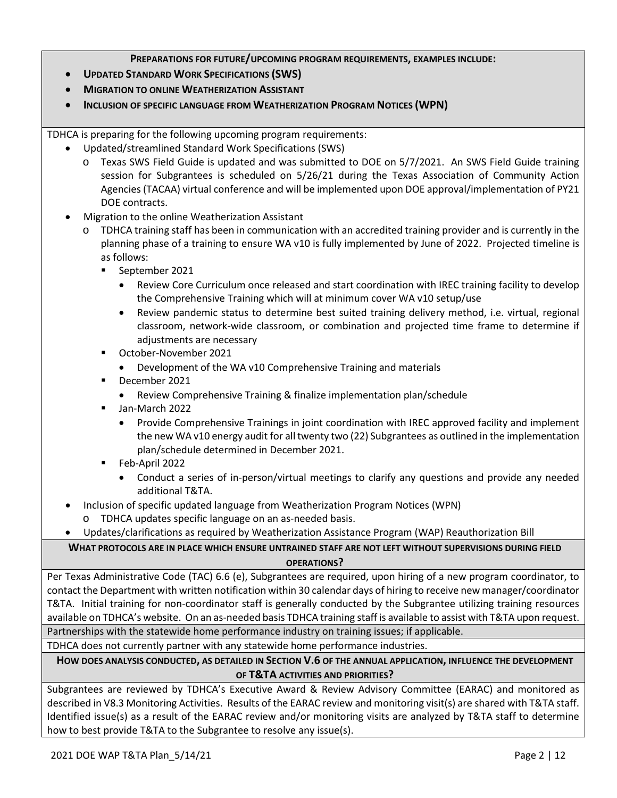#### **PREPARATIONS FOR FUTURE/UPCOMING PROGRAM REQUIREMENTS, EXAMPLES INCLUDE:**

- **UPDATED STANDARD WORK SPECIFICATIONS (SWS)**
- **MIGRATION TO ONLINE WEATHERIZATION ASSISTANT**
- **INCLUSION OF SPECIFIC LANGUAGE FROM WEATHERIZATION PROGRAM NOTICES (WPN)**

TDHCA is preparing for the following upcoming program requirements:

- Updated/streamlined Standard Work Specifications (SWS)
	- o Texas SWS Field Guide is updated and was submitted to DOE on 5/7/2021. An SWS Field Guide training session for Subgrantees is scheduled on 5/26/21 during the Texas Association of Community Action Agencies (TACAA) virtual conference and will be implemented upon DOE approval/implementation of PY21 DOE contracts.
- Migration to the online Weatherization Assistant
	- o TDHCA training staff has been in communication with an accredited training provider and is currently in the planning phase of a training to ensure WA v10 is fully implemented by June of 2022. Projected timeline is as follows:
		- September 2021
			- Review Core Curriculum once released and start coordination with IREC training facility to develop the Comprehensive Training which will at minimum cover WA v10 setup/use
			- Review pandemic status to determine best suited training delivery method, i.e. virtual, regional classroom, network-wide classroom, or combination and projected time frame to determine if adjustments are necessary
		- October-November 2021
			- Development of the WA v10 Comprehensive Training and materials
		- December 2021
			- Review Comprehensive Training & finalize implementation plan/schedule
		- **Jan-March 2022** 
			- Provide Comprehensive Trainings in joint coordination with IREC approved facility and implement the new WA v10 energy audit for all twenty two (22) Subgrantees as outlined in the implementation plan/schedule determined in December 2021.
		- Feb-April 2022
			- Conduct a series of in-person/virtual meetings to clarify any questions and provide any needed additional T&TA.
- Inclusion of specific updated language from Weatherization Program Notices (WPN)
	- o TDHCA updates specific language on an as-needed basis.
	- Updates/clarifications as required by Weatherization Assistance Program (WAP) Reauthorization Bill

**WHAT PROTOCOLS ARE IN PLACE WHICH ENSURE UNTRAINED STAFF ARE NOT LEFT WITHOUT SUPERVISIONS DURING FIELD OPERATIONS?**

Per Texas Administrative Code (TAC) 6.6 (e), Subgrantees are required, upon hiring of a new program coordinator, to contact the Department with written notification within 30 calendar days of hiring to receive new manager/coordinator T&TA. Initial training for non-coordinator staff is generally conducted by the Subgrantee utilizing training resources available on TDHCA's website. On an as-needed basis TDHCA training staff is available to assist with T&TA upon request. Partnerships with the statewide home performance industry on training issues; if applicable.

TDHCA does not currently partner with any statewide home performance industries.

# **HOW DOES ANALYSIS CONDUCTED, AS DETAILED IN SECTION V.6 OF THE ANNUAL APPLICATION, INFLUENCE THE DEVELOPMENT OF T&TA ACTIVITIES AND PRIORITIES?**

Subgrantees are reviewed by TDHCA's Executive Award & Review Advisory Committee (EARAC) and monitored as described in V8.3 Monitoring Activities. Results of the EARAC review and monitoring visit(s) are shared with T&TA staff. Identified issue(s) as a result of the EARAC review and/or monitoring visits are analyzed by T&TA staff to determine how to best provide T&TA to the Subgrantee to resolve any issue(s).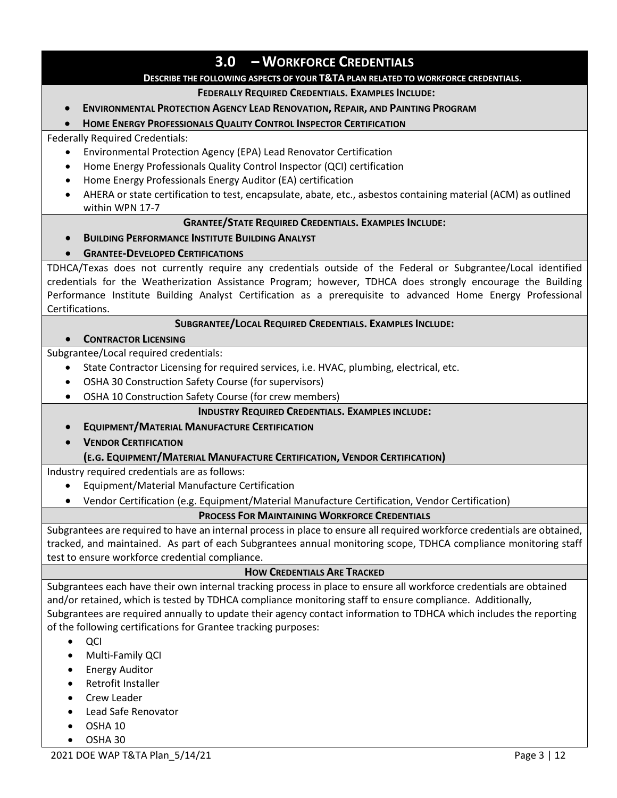# **3.0 – WORKFORCE CREDENTIALS**

#### **DESCRIBE THE FOLLOWING ASPECTS OF YOUR T&TA PLAN RELATED TO WORKFORCE CREDENTIALS.**

#### **FEDERALLY REQUIRED CREDENTIALS. EXAMPLES INCLUDE:**

#### • **ENVIRONMENTAL PROTECTION AGENCY LEAD RENOVATION, REPAIR, AND PAINTING PROGRAM**

#### • **HOME ENERGY PROFESSIONALS QUALITY CONTROL INSPECTOR CERTIFICATION**

#### Federally Required Credentials:

- Environmental Protection Agency (EPA) Lead Renovator Certification
- Home Energy Professionals Quality Control Inspector (QCI) certification
- Home Energy Professionals Energy Auditor (EA) certification
- AHERA or state certification to test, encapsulate, abate, etc., asbestos containing material (ACM) as outlined within WPN 17-7

#### **GRANTEE/STATE REQUIRED CREDENTIALS. EXAMPLES INCLUDE:**

• **BUILDING PERFORMANCE INSTITUTE BUILDING ANALYST**

#### • **GRANTEE-DEVELOPED CERTIFICATIONS**

TDHCA/Texas does not currently require any credentials outside of the Federal or Subgrantee/Local identified credentials for the Weatherization Assistance Program; however, TDHCA does strongly encourage the Building Performance Institute Building Analyst Certification as a prerequisite to advanced Home Energy Professional Certifications.

#### **SUBGRANTEE/LOCAL REQUIRED CREDENTIALS. EXAMPLES INCLUDE:**

#### • **CONTRACTOR LICENSING**

Subgrantee/Local required credentials:

- State Contractor Licensing for required services, i.e. HVAC, plumbing, electrical, etc.
- OSHA 30 Construction Safety Course (for supervisors)
- OSHA 10 Construction Safety Course (for crew members)

#### **INDUSTRY REQUIRED CREDENTIALS. EXAMPLES INCLUDE:**

- **EQUIPMENT/MATERIAL MANUFACTURE CERTIFICATION**
- **VENDOR CERTIFICATION**

#### **(E.G. EQUIPMENT/MATERIAL MANUFACTURE CERTIFICATION, VENDOR CERTIFICATION)**

Industry required credentials are as follows:

- Equipment/Material Manufacture Certification
- Vendor Certification (e.g. Equipment/Material Manufacture Certification, Vendor Certification)

#### **PROCESS FOR MAINTAINING WORKFORCE CREDENTIALS**

Subgrantees are required to have an internal process in place to ensure all required workforce credentials are obtained, tracked, and maintained. As part of each Subgrantees annual monitoring scope, TDHCA compliance monitoring staff test to ensure workforce credential compliance.

#### **HOW CREDENTIALS ARE TRACKED**

Subgrantees each have their own internal tracking process in place to ensure all workforce credentials are obtained and/or retained, which is tested by TDHCA compliance monitoring staff to ensure compliance. Additionally, Subgrantees are required annually to update their agency contact information to TDHCA which includes the reporting of the following certifications for Grantee tracking purposes:

- QCI
- Multi-Family QCI
- Energy Auditor
- Retrofit Installer
- Crew Leader
- Lead Safe Renovator
- OSHA 10
- OSHA 30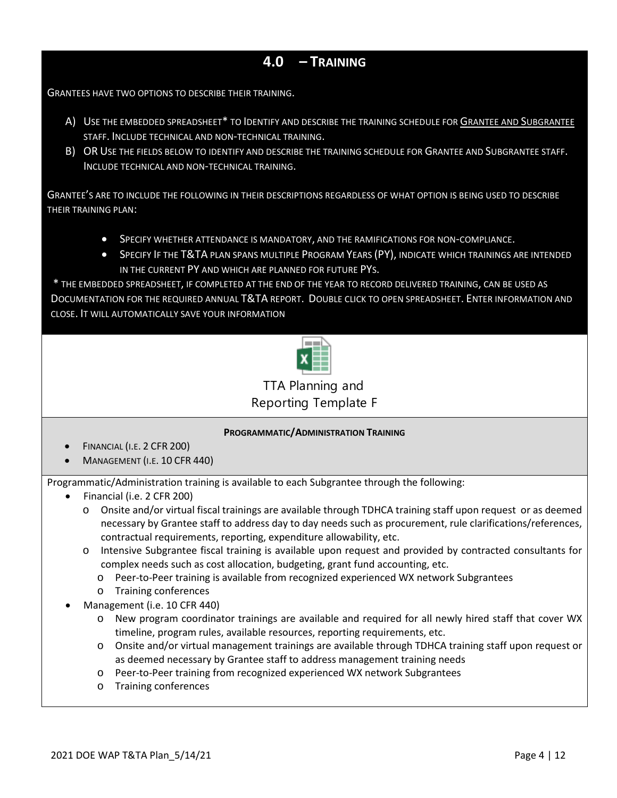# **4.0 – TRAINING**

GRANTEES HAVE TWO OPTIONS TO DESCRIBE THEIR TRAINING.

- A) USE THE EMBEDDED SPREADSHEET\* TO IDENTIFY AND DESCRIBE THE TRAINING SCHEDULE FOR GRANTEE AND SUBGRANTEE STAFF. INCLUDE TECHNICAL AND NON-TECHNICAL TRAINING.
- B) OR USE THE FIELDS BELOW TO IDENTIFY AND DESCRIBE THE TRAINING SCHEDULE FOR GRANTEE AND SUBGRANTEE STAFF. INCLUDE TECHNICAL AND NON-TECHNICAL TRAINING.

GRANTEE'S ARE TO INCLUDE THE FOLLOWING IN THEIR DESCRIPTIONS REGARDLESS OF WHAT OPTION IS BEING USED TO DESCRIBE THEIR TRAINING PLAN:

- SPECIFY WHETHER ATTENDANCE IS MANDATORY, AND THE RAMIFICATIONS FOR NON-COMPLIANCE.
- SPECIFY IF THE T&TA PLAN SPANS MULTIPLE PROGRAM YEARS (PY), INDICATE WHICH TRAININGS ARE INTENDED IN THE CURRENT PY AND WHICH ARE PLANNED FOR FUTURE PYS.

\* THE EMBEDDED SPREADSHEET, IF COMPLETED AT THE END OF THE YEAR TO RECORD DELIVERED TRAINING, CAN BE USED AS DOCUMENTATION FOR THE REQUIRED ANNUAL T&TA REPORT. DOUBLE CLICK TO OPEN SPREADSHEET. ENTER INFORMATION AND CLOSE. IT WILL AUTOMATICALLY SAVE YOUR INFORMATION



TTA Planning and Reporting Template Fi

# **PROGRAMMATIC/ADMINISTRATION TRAINING**

- FINANCIAL (I.E. 2 CFR 200)
- MANAGEMENT (I.E. 10 CFR 440)

Programmatic/Administration training is available to each Subgrantee through the following:

- Financial (i.e. 2 CFR 200)
	- o Onsite and/or virtual fiscal trainings are available through TDHCA training staff upon request or as deemed necessary by Grantee staff to address day to day needs such as procurement, rule clarifications/references, contractual requirements, reporting, expenditure allowability, etc.
	- o Intensive Subgrantee fiscal training is available upon request and provided by contracted consultants for complex needs such as cost allocation, budgeting, grant fund accounting, etc.
		- o Peer-to-Peer training is available from recognized experienced WX network Subgrantees
		- o Training conferences
- Management (i.e. 10 CFR 440)
	- o New program coordinator trainings are available and required for all newly hired staff that cover WX timeline, program rules, available resources, reporting requirements, etc.
	- o Onsite and/or virtual management trainings are available through TDHCA training staff upon request or as deemed necessary by Grantee staff to address management training needs
	- o Peer-to-Peer training from recognized experienced WX network Subgrantees
	- o Training conferences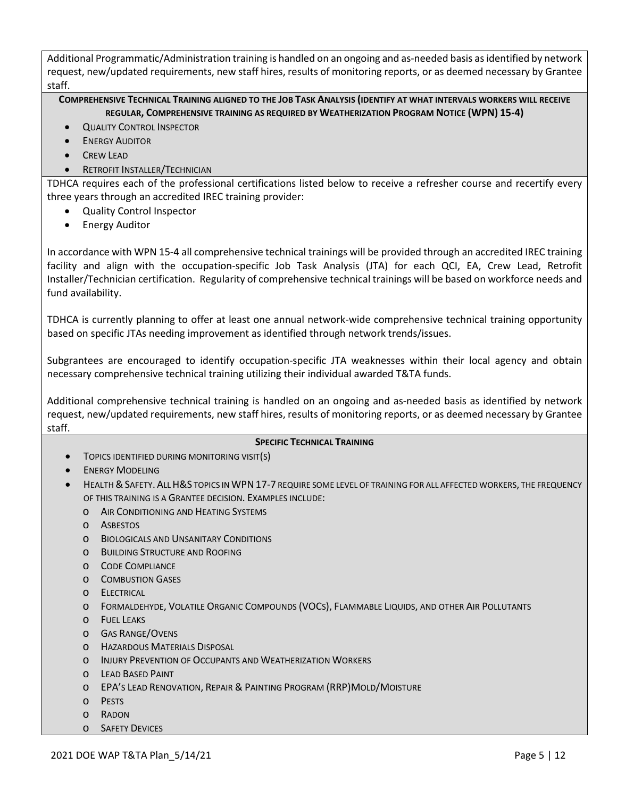Additional Programmatic/Administration training is handled on an ongoing and as-needed basis as identified by network request, new/updated requirements, new staff hires, results of monitoring reports, or as deemed necessary by Grantee staff.

**COMPREHENSIVE TECHNICAL TRAINING ALIGNED TO THE JOB TASK ANALYSIS (IDENTIFY AT WHAT INTERVALS WORKERS WILL RECEIVE REGULAR, COMPREHENSIVE TRAINING AS REQUIRED BY WEATHERIZATION PROGRAM NOTICE (WPN) 15-4)**

- **QUALITY CONTROL INSPECTOR**
- **ENERGY AUDITOR**
- CREW LEAD
- **RETROFIT INSTALLER/TECHNICIAN**

TDHCA requires each of the professional certifications listed below to receive a refresher course and recertify every three years through an accredited IREC training provider:

- Quality Control Inspector
- Energy Auditor

In accordance with WPN 15-4 all comprehensive technical trainings will be provided through an accredited IREC training facility and align with the occupation-specific Job Task Analysis (JTA) for each QCI, EA, Crew Lead, Retrofit Installer/Technician certification. Regularity of comprehensive technical trainings will be based on workforce needs and fund availability.

TDHCA is currently planning to offer at least one annual network-wide comprehensive technical training opportunity based on specific JTAs needing improvement as identified through network trends/issues.

Subgrantees are encouraged to identify occupation-specific JTA weaknesses within their local agency and obtain necessary comprehensive technical training utilizing their individual awarded T&TA funds.

Additional comprehensive technical training is handled on an ongoing and as-needed basis as identified by network request, new/updated requirements, new staff hires, results of monitoring reports, or as deemed necessary by Grantee staff.

#### **SPECIFIC TECHNICAL TRAINING**

- TOPICS IDENTIFIED DURING MONITORING VISIT(S)
- **ENERGY MODELING**
- HEALTH & SAFETY. ALL H&S TOPICS IN WPN 17-7 REQUIRE SOME LEVEL OF TRAINING FOR ALL AFFECTED WORKERS, THE FREQUENCY OF THIS TRAINING IS A GRANTEE DECISION. EXAMPLES INCLUDE:
	- o AIR CONDITIONING AND HEATING SYSTEMS
	- o ASBESTOS
	- o BIOLOGICALS AND UNSANITARY CONDITIONS
	- o BUILDING STRUCTURE AND ROOFING
	- o CODE COMPLIANCE
	- o COMBUSTION GASES
	- o ELECTRICAL
	- o FORMALDEHYDE, VOLATILE ORGANIC COMPOUNDS (VOCS), FLAMMABLE LIQUIDS, AND OTHER AIR POLLUTANTS
	- o FUEL LEAKS
	- o GAS RANGE/OVENS
	- o HAZARDOUS MATERIALS DISPOSAL
	- o INJURY PREVENTION OF OCCUPANTS AND WEATHERIZATION WORKERS
	- o LEAD BASED PAINT
	- o EPA'S LEAD RENOVATION, REPAIR & PAINTING PROGRAM (RRP)MOLD/MOISTURE
	- o PESTS
	- o RADON
	- o SAFETY DEVICES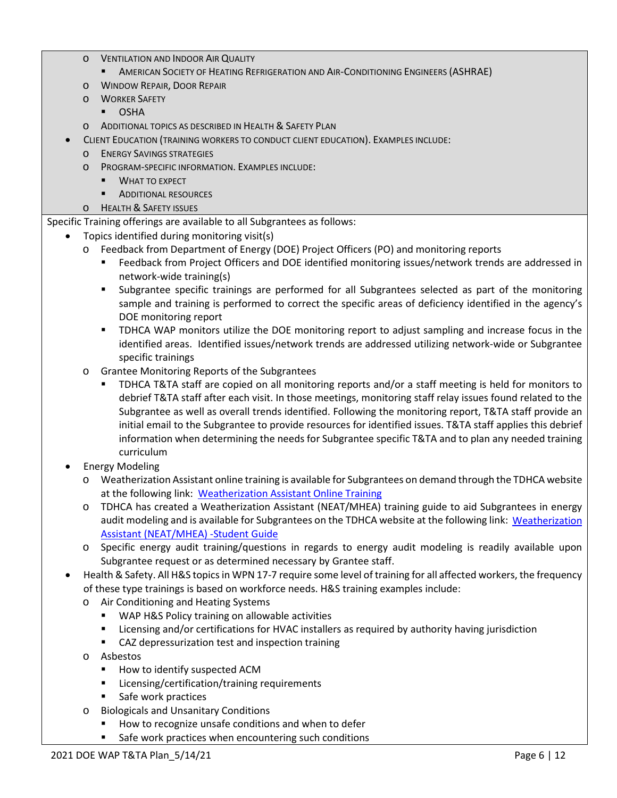- o VENTILATION AND INDOOR AIR QUALITY
	- **AMERICAN SOCIETY OF HEATING REFRIGERATION AND AIR-CONDITIONING ENGINEERS (ASHRAE)**
- o WINDOW REPAIR, DOOR REPAIR
- o WORKER SAFETY
	- OSHA
- o ADDITIONAL TOPICS AS DESCRIBED IN HEALTH & SAFETY PLAN
- CLIENT EDUCATION (TRAINING WORKERS TO CONDUCT CLIENT EDUCATION). EXAMPLES INCLUDE:
	- o ENERGY SAVINGS STRATEGIES
	- o PROGRAM-SPECIFIC INFORMATION. EXAMPLES INCLUDE:
		- **WHAT TO EXPECT**
		- **ADDITIONAL RESOURCES**
	- o HEALTH & SAFETY ISSUES

Specific Training offerings are available to all Subgrantees as follows:

- Topics identified during monitoring visit(s)
	- o Feedback from Department of Energy (DOE) Project Officers (PO) and monitoring reports
		- Feedback from Project Officers and DOE identified monitoring issues/network trends are addressed in network-wide training(s)
		- Subgrantee specific trainings are performed for all Subgrantees selected as part of the monitoring sample and training is performed to correct the specific areas of deficiency identified in the agency's DOE monitoring report
		- TDHCA WAP monitors utilize the DOE monitoring report to adjust sampling and increase focus in the identified areas. Identified issues/network trends are addressed utilizing network-wide or Subgrantee specific trainings
	- o Grantee Monitoring Reports of the Subgrantees
		- TDHCA T&TA staff are copied on all monitoring reports and/or a staff meeting is held for monitors to debrief T&TA staff after each visit. In those meetings, monitoring staff relay issues found related to the Subgrantee as well as overall trends identified. Following the monitoring report, T&TA staff provide an initial email to the Subgrantee to provide resources for identified issues. T&TA staff applies this debrief information when determining the needs for Subgrantee specific T&TA and to plan any needed training curriculum
- **Energy Modeling** 
	- o Weatherization Assistant online training is available for Subgrantees on demand through the TDHCA website at the following link: [Weatherization Assistant Online Training](https://www.weatherizationassistanttraining.org/index.php)
	- o TDHCA has created a Weatherization Assistant (NEAT/MHEA) training guide to aid Subgrantees in energy audit modeling and is available for Subgrantees on the TDHCA website at the following link: [Weatherization](https://www.tdhca.state.tx.us/community-affairs/wap/docs/NEAT-StudentGuide.pdf)  [Assistant \(NEAT/MHEA\) -Student Guide](https://www.tdhca.state.tx.us/community-affairs/wap/docs/NEAT-StudentGuide.pdf)
	- o Specific energy audit training/questions in regards to energy audit modeling is readily available upon Subgrantee request or as determined necessary by Grantee staff.
- Health & Safety. All H&S topics in WPN 17-7 require some level of training for all affected workers, the frequency of these type trainings is based on workforce needs. H&S training examples include:
	- o Air Conditioning and Heating Systems
		- **WAP H&S Policy training on allowable activities**
		- **EXECT** Licensing and/or certifications for HVAC installers as required by authority having jurisdiction
		- **EXECT** CAZ depressurization test and inspection training
	- o Asbestos
		- **How to identify suspected ACM**
		- **EXEC** Licensing/certification/training requirements
		- **Safe work practices**
	- o Biologicals and Unsanitary Conditions
		- How to recognize unsafe conditions and when to defer
		- **Safe work practices when encountering such conditions**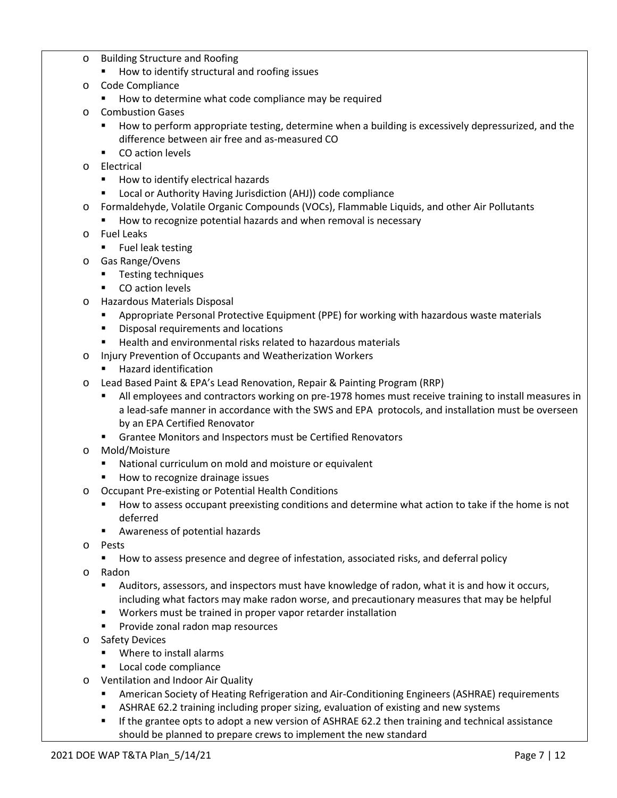- o Building Structure and Roofing
	- How to identify structural and roofing issues
- o Code Compliance
	- **How to determine what code compliance may be required**
- o Combustion Gases
	- **How to perform appropriate testing, determine when a building is excessively depressurized, and the** difference between air free and as-measured CO
	- **•** CO action levels
- o Electrical
	- How to identify electrical hazards
	- Local or Authority Having Jurisdiction (AHJ)) code compliance
- o Formaldehyde, Volatile Organic Compounds (VOCs), Flammable Liquids, and other Air Pollutants
	- How to recognize potential hazards and when removal is necessary
- o Fuel Leaks
	- **Fuel leak testing**
- o Gas Range/Ovens
	- **Testing techniques**
	- **CO** action levels
- o Hazardous Materials Disposal
	- Appropriate Personal Protective Equipment (PPE) for working with hazardous waste materials
	- **Disposal requirements and locations**
	- Health and environmental risks related to hazardous materials
- o Injury Prevention of Occupants and Weatherization Workers
	- **Hazard identification**
- o Lead Based Paint & EPA's Lead Renovation, Repair & Painting Program (RRP)
	- All employees and contractors working on pre-1978 homes must receive training to install measures in a lead-safe manner in accordance with the SWS and EPA protocols, and installation must be overseen by an EPA Certified Renovator
	- **F** Grantee Monitors and Inspectors must be Certified Renovators
- o Mold/Moisture
	- National curriculum on mold and moisture or equivalent
	- **How to recognize drainage issues**
- o Occupant Pre-existing or Potential Health Conditions
	- How to assess occupant preexisting conditions and determine what action to take if the home is not deferred
	- Awareness of potential hazards
- o Pests
	- How to assess presence and degree of infestation, associated risks, and deferral policy
- o Radon
	- Auditors, assessors, and inspectors must have knowledge of radon, what it is and how it occurs, including what factors may make radon worse, and precautionary measures that may be helpful
	- Workers must be trained in proper vapor retarder installation
	- **Provide zonal radon map resources**
- o Safety Devices
	- **Where to install alarms**
	- **Local code compliance**
- o Ventilation and Indoor Air Quality
	- American Society of Heating Refrigeration and Air-Conditioning Engineers (ASHRAE) requirements
	- **EXELMARE 62.2 training including proper sizing, evaluation of existing and new systems**
	- If the grantee opts to adopt a new version of ASHRAE 62.2 then training and technical assistance should be planned to prepare crews to implement the new standard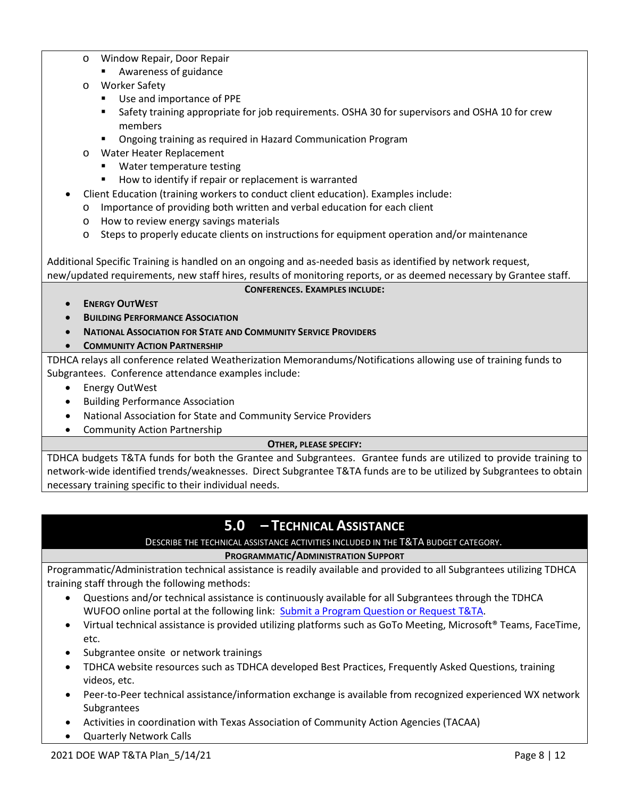- o Window Repair, Door Repair
	- Awareness of guidance
- o Worker Safety
	- Use and importance of PPE
	- Safety training appropriate for job requirements. OSHA 30 for supervisors and OSHA 10 for crew members
	- **Ongoing training as required in Hazard Communication Program**
- o Water Heater Replacement
	- **Water temperature testing**
	- How to identify if repair or replacement is warranted
- Client Education (training workers to conduct client education). Examples include:
- o Importance of providing both written and verbal education for each client
- o How to review energy savings materials
- $\circ$  Steps to properly educate clients on instructions for equipment operation and/or maintenance

Additional Specific Training is handled on an ongoing and as-needed basis as identified by network request, new/updated requirements, new staff hires, results of monitoring reports, or as deemed necessary by Grantee staff.

### **CONFERENCES. EXAMPLES INCLUDE:**

- **ENERGY OUTWEST**
- **BUILDING PERFORMANCE ASSOCIATION**
- **NATIONAL ASSOCIATION FOR STATE AND COMMUNITY SERVICE PROVIDERS**
- **COMMUNITY ACTION PARTNERSHIP**

TDHCA relays all conference related Weatherization Memorandums/Notifications allowing use of training funds to Subgrantees. Conference attendance examples include:

- Energy OutWest
- Building Performance Association
- National Association for State and Community Service Providers
- Community Action Partnership

# **OTHER, PLEASE SPECIFY:**

TDHCA budgets T&TA funds for both the Grantee and Subgrantees. Grantee funds are utilized to provide training to network-wide identified trends/weaknesses. Direct Subgrantee T&TA funds are to be utilized by Subgrantees to obtain necessary training specific to their individual needs.

# **5.0 – TECHNICAL ASSISTANCE**

# DESCRIBE THE TECHNICAL ASSISTANCE ACTIVITIES INCLUDED IN THE T&TA BUDGET CATEGORY.

# **PROGRAMMATIC/ADMINISTRATION SUPPORT**

Programmatic/Administration technical assistance is readily available and provided to all Subgrantees utilizing TDHCA training staff through the following methods:

- Questions and/or technical assistance is continuously available for all Subgrantees through the TDHCA WUFOO online portal at the following link: [Submit a Program Question or Request T&TA.](https://tdhca.wufoo.com/forms/request-for-ca-program-assistance/)
- Virtual technical assistance is provided utilizing platforms such as GoTo Meeting, Microsoft® Teams, FaceTime, etc.
- Subgrantee onsite or network trainings
- TDHCA website resources such as TDHCA developed Best Practices, Frequently Asked Questions, training videos, etc.
- Peer-to-Peer technical assistance/information exchange is available from recognized experienced WX network Subgrantees
- Activities in coordination with Texas Association of Community Action Agencies (TACAA)
- Quarterly Network Calls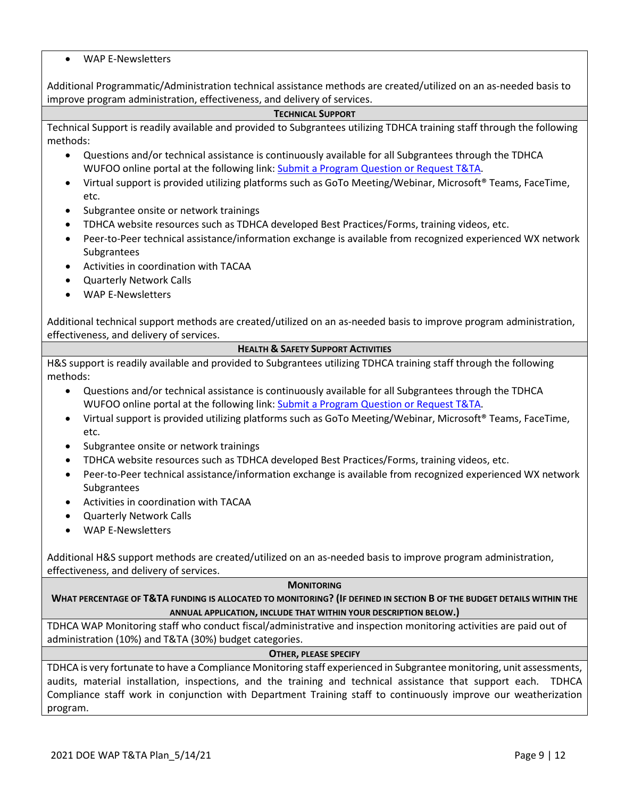### • WAP E-Newsletters

Additional Programmatic/Administration technical assistance methods are created/utilized on an as-needed basis to improve program administration, effectiveness, and delivery of services.

#### **TECHNICAL SUPPORT**

Technical Support is readily available and provided to Subgrantees utilizing TDHCA training staff through the following methods:

- Questions and/or technical assistance is continuously available for all Subgrantees through the TDHCA WUFOO online portal at the following link: [Submit a Program Question or Request T&TA.](https://tdhca.wufoo.com/forms/request-for-ca-program-assistance/)
- Virtual support is provided utilizing platforms such as GoTo Meeting/Webinar, Microsoft® Teams, FaceTime, etc.
- Subgrantee onsite or network trainings
- TDHCA website resources such as TDHCA developed Best Practices/Forms, training videos, etc.
- Peer-to-Peer technical assistance/information exchange is available from recognized experienced WX network Subgrantees
- Activities in coordination with TACAA
- Quarterly Network Calls
- WAP E-Newsletters

Additional technical support methods are created/utilized on an as-needed basis to improve program administration, effectiveness, and delivery of services.

### **HEALTH & SAFETY SUPPORT ACTIVITIES**

H&S support is readily available and provided to Subgrantees utilizing TDHCA training staff through the following methods:

- Questions and/or technical assistance is continuously available for all Subgrantees through the TDHCA WUFOO online portal at the following link: [Submit a Program Question or Request T&TA.](https://tdhca.wufoo.com/forms/request-for-ca-program-assistance/)
- Virtual support is provided utilizing platforms such as GoTo Meeting/Webinar, Microsoft® Teams, FaceTime, etc.
- Subgrantee onsite or network trainings
- TDHCA website resources such as TDHCA developed Best Practices/Forms, training videos, etc.
- Peer-to-Peer technical assistance/information exchange is available from recognized experienced WX network Subgrantees
- Activities in coordination with TACAA
- Quarterly Network Calls
- WAP E-Newsletters

Additional H&S support methods are created/utilized on an as-needed basis to improve program administration, effectiveness, and delivery of services.

#### **MONITORING**

**WHAT PERCENTAGE OF T&TA FUNDING IS ALLOCATED TO MONITORING? (IF DEFINED IN SECTION B OF THE BUDGET DETAILS WITHIN THE ANNUAL APPLICATION, INCLUDE THAT WITHIN YOUR DESCRIPTION BELOW.)**

TDHCA WAP Monitoring staff who conduct fiscal/administrative and inspection monitoring activities are paid out of administration (10%) and T&TA (30%) budget categories.

#### **OTHER, PLEASE SPECIFY**

TDHCA is very fortunate to have a Compliance Monitoring staff experienced in Subgrantee monitoring, unit assessments, audits, material installation, inspections, and the training and technical assistance that support each. TDHCA Compliance staff work in conjunction with Department Training staff to continuously improve our weatherization program.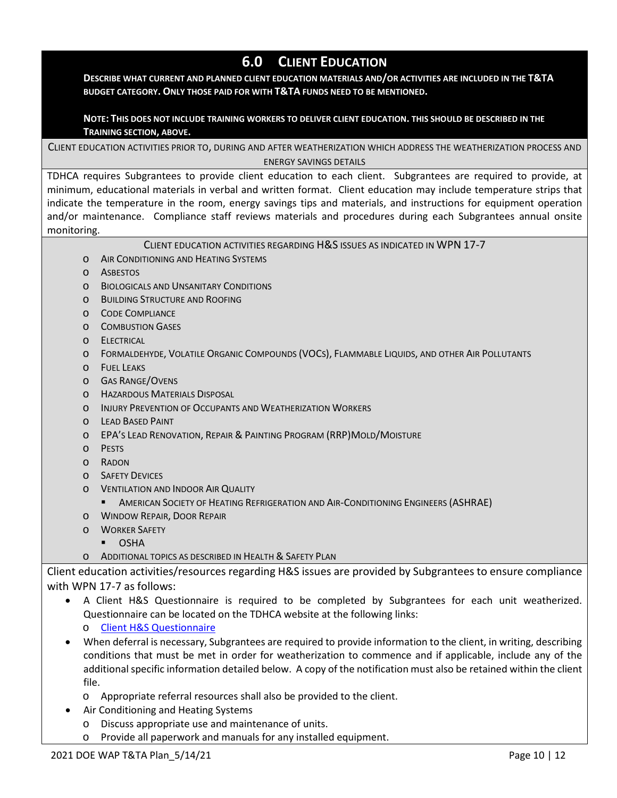# **6.0 CLIENT EDUCATION**

#### **DESCRIBE WHAT CURRENT AND PLANNED CLIENT EDUCATION MATERIALS AND/OR ACTIVITIES ARE INCLUDED IN THE T&TA BUDGET CATEGORY. ONLY THOSE PAID FOR WITH T&TA FUNDS NEED TO BE MENTIONED.**

### **NOTE: THIS DOES NOT INCLUDE TRAINING WORKERS TO DELIVER CLIENT EDUCATION. THIS SHOULD BE DESCRIBED IN THE TRAINING SECTION, ABOVE.**

CLIENT EDUCATION ACTIVITIES PRIOR TO, DURING AND AFTER WEATHERIZATION WHICH ADDRESS THE WEATHERIZATION PROCESS AND ENERGY SAVINGS DETAILS

TDHCA requires Subgrantees to provide client education to each client. Subgrantees are required to provide, at minimum, educational materials in verbal and written format. Client education may include temperature strips that indicate the temperature in the room, energy savings tips and materials, and instructions for equipment operation and/or maintenance. Compliance staff reviews materials and procedures during each Subgrantees annual onsite monitoring.

### CLIENT EDUCATION ACTIVITIES REGARDING H&S ISSUES AS INDICATED IN WPN 17-7

- o AIR CONDITIONING AND HEATING SYSTEMS
- o ASBESTOS
- o BIOLOGICALS AND UNSANITARY CONDITIONS
- o BUILDING STRUCTURE AND ROOFING
- o CODE COMPLIANCE
- o COMBUSTION GASES
- o ELECTRICAL
- o FORMALDEHYDE, VOLATILE ORGANIC COMPOUNDS (VOCS), FLAMMABLE LIQUIDS, AND OTHER AIR POLLUTANTS
- o FUEL LEAKS
- o GAS RANGE/OVENS
- o HAZARDOUS MATERIALS DISPOSAL
- o INJURY PREVENTION OF OCCUPANTS AND WEATHERIZATION WORKERS
- o LEAD BASED PAINT
- o EPA'S LEAD RENOVATION, REPAIR & PAINTING PROGRAM (RRP)MOLD/MOISTURE
- o PESTS
- o RADON
- o SAFETY DEVICES
- o VENTILATION AND INDOOR AIR QUALITY
	- **AMERICAN SOCIETY OF HEATING REFRIGERATION AND AIR-CONDITIONING ENGINEERS (ASHRAE)**
- o WINDOW REPAIR, DOOR REPAIR
- o WORKER SAFETY
	- OSHA
- o ADDITIONAL TOPICS AS DESCRIBED IN HEALTH & SAFETY PLAN

Client education activities/resources regarding H&S issues are provided by Subgrantees to ensure compliance with WPN 17-7 as follows:

• A Client H&S Questionnaire is required to be completed by Subgrantees for each unit weatherized. Questionnaire can be located on the TDHCA website at the following links:

o [Client H&S Questionnaire](https://www.tdhca.state.tx.us/community-affairs/wap/docs/WAP-ClientHSQuestionnaire.pdf)

• When deferral is necessary, Subgrantees are required to provide information to the client, in writing, describing conditions that must be met in order for weatherization to commence and if applicable, include any of the additional specific information detailed below. A copy of the notification must also be retained within the client file.

o Appropriate referral resources shall also be provided to the client.

- Air Conditioning and Heating Systems
	- o Discuss appropriate use and maintenance of units.
	- o Provide all paperwork and manuals for any installed equipment.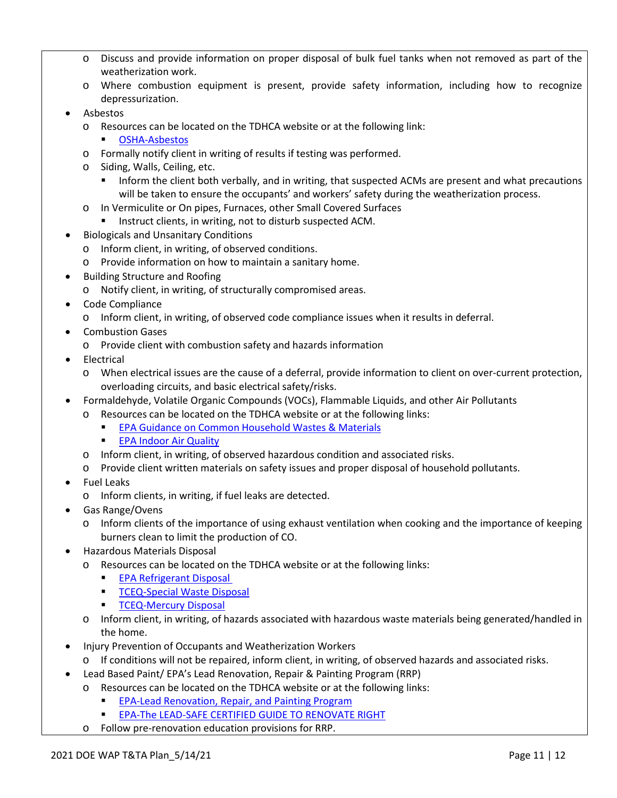- o Discuss and provide information on proper disposal of bulk fuel tanks when not removed as part of the weatherization work.
- o Where combustion equipment is present, provide safety information, including how to recognize depressurization.
- Asbestos
	- o Resources can be located on the TDHCA website or at the following link:
		- [OSHA-Asbestos](https://www.osha.gov/asbestos)
	- o Formally notify client in writing of results if testing was performed.
	- o Siding, Walls, Ceiling, etc.
		- **Inform the client both verbally, and in writing, that suspected ACMs are present and what precautions** will be taken to ensure the occupants' and workers' safety during the weatherization process.
	- o In Vermiculite or On pipes, Furnaces, other Small Covered Surfaces
		- Instruct clients, in writing, not to disturb suspected ACM.
- Biologicals and Unsanitary Conditions
	- o Inform client, in writing, of observed conditions.
	- o Provide information on how to maintain a sanitary home.
- Building Structure and Roofing
	- o Notify client, in writing, of structurally compromised areas.
- Code Compliance
	- o Inform client, in writing, of observed code compliance issues when it results in deferral.
- Combustion Gases
	- o Provide client with combustion safety and hazards information
- Electrical
	- o When electrical issues are the cause of a deferral, provide information to client on over-current protection, overloading circuits, and basic electrical safety/risks.
- Formaldehyde, Volatile Organic Compounds (VOCs), Flammable Liquids, and other Air Pollutants
	- o Resources can be located on the TDHCA website or at the following links:
		- **[EPA Guidance on Common Household Wastes & Materials](https://www.epa.gov/hw/household-hazardous-waste-hhw)**
		- **[EPA Indoor Air Quality](https://www.epa.gov/indoor-air-quality-iaq)**
	- o Inform client, in writing, of observed hazardous condition and associated risks.
	- o Provide client written materials on safety issues and proper disposal of household pollutants.
- Fuel Leaks
	- o Inform clients, in writing, if fuel leaks are detected.
- Gas Range/Ovens
	- o Inform clients of the importance of using exhaust ventilation when cooking and the importance of keeping burners clean to limit the production of CO.
- Hazardous Materials Disposal
	- o Resources can be located on the TDHCA website or at the following links:
		- **EPA Refrigerant Disposal**
		- **[TCEQ-Special Waste Disposal](http://www.tceq.texas.gov/permitting/waste_permits/msw_permits/msw_specialwaste.html)**
		- [TCEQ-Mercury Disposal](https://www.tceq.texas.gov/assets/public/comm_exec/pubs/rg/rg-377.pdf)
	- o Inform client, in writing, of hazards associated with hazardous waste materials being generated/handled in the home.
- Injury Prevention of Occupants and Weatherization Workers
	- o If conditions will not be repaired, inform client, in writing, of observed hazards and associated risks.
- Lead Based Paint/ EPA's Lead Renovation, Repair & Painting Program (RRP)
	- o Resources can be located on the TDHCA website or at the following links:
		- **[EPA-Lead Renovation, Repair, and Painting Program](https://www.epa.gov/lead/lead-renovation-repair-and-painting-program)**
		- **[EPA-The LEAD-SAFE CERTIFIED GUIDE TO RENOVATE RIGHT](https://www.cpsc.gov/s3fs-public/renovateright.pdf)**
		- o Follow pre-renovation education provisions for RRP.